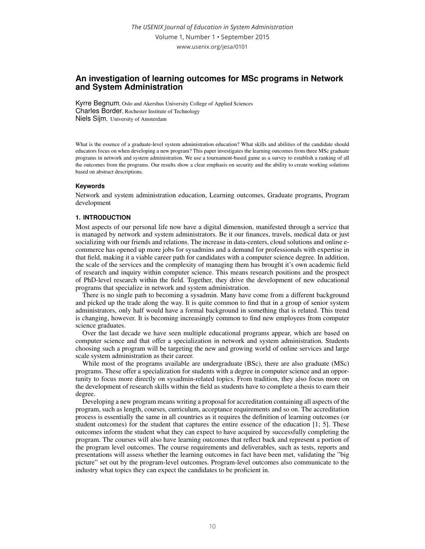## **An investigation of learning outcomes for MSc programs in Network and System Administration**

Kyrre Begnum, Oslo and Akershus University College of Applied Sciences Charles Border, Rochester Institute of Technology Niels Sijm, University of Amsterdam

What is the essence of a graduate-level system administration education? What skills and abilities of the candidate should educators focus on when developing a new program? This paper investigates the learning outcomes from three MSc graduate programs in network and system administration. We use a tournament-based game as a survey to establish a ranking of all the outcomes from the programs. Our results show a clear emphasis on security and the ability to create working solutions based on abstract descriptions.

### **Keywords**

Network and system administration education, Learning outcomes, Graduate programs, Program development

### **1. INTRODUCTION**

Most aspects of our personal life now have a digital dimension, manifested through a service that is managed by network and system administrators. Be it our finances, travels, medical data or just socializing with our friends and relations. The increase in data-centers, cloud solutions and online ecommerce has opened up more jobs for sysadmins and a demand for professionals with expertise in that field, making it a viable career path for candidates with a computer science degree. In addition, the scale of the services and the complexity of managing them has brought it's own academic field of research and inquiry within computer science. This means research positions and the prospect of PhD-level research within the field. Together, they drive the development of new educational programs that specialize in network and system administration.

There is no single path to becoming a sysadmin. Many have come from a different background and picked up the trade along the way. It is quite common to find that in a group of senior system administrators, only half would have a formal background in something that is related. This trend is changing, however. It is becoming increasingly common to find new employees from computer science graduates.

Over the last decade we have seen multiple educational programs appear, which are based on computer science and that offer a specialization in network and system administration. Students choosing such a program will be targeting the new and growing world of online services and large scale system administration as their career.

While most of the programs available are undergraduate (BSc), there are also graduate (MSc) programs. These offer a specialization for students with a degree in computer science and an opportunity to focus more directly on sysadmin-related topics. From tradition, they also focus more on the development of research skills within the field as students have to complete a thesis to earn their degree.

Developing a new program means writing a proposal for accreditation containing all aspects of the program, such as length, courses, curriculum, acceptance requirements and so on. The accreditation process is essentially the same in all countries as it requires the definition of learning outcomes (or student outcomes) for the student that captures the entire essence of the education [1; 5]. These outcomes inform the student what they can expect to have acquired by successfully completing the program. The courses will also have learning outcomes that reflect back and represent a portion of the program level outcomes. The course requirements and deliverables, such as tests, reports and presentations will assess whether the learning outcomes in fact have been met, validating the "big picture" set out by the program-level outcomes. Program-level outcomes also communicate to the industry what topics they can expect the candidates to be proficient in.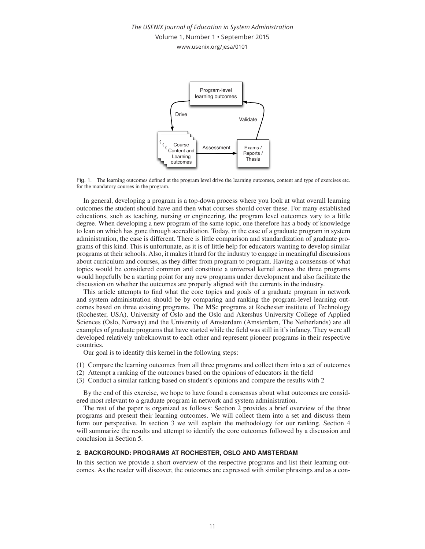

Fig. 1. The learning outcomes defined at the program level drive the learning outcomes, content and type of exercises etc. for the mandatory courses in the program.

In general, developing a program is a top-down process where you look at what overall learning outcomes the student should have and then what courses should cover these. For many established educations, such as teaching, nursing or engineering, the program level outcomes vary to a little degree. When developing a new program of the same topic, one therefore has a body of knowledge to lean on which has gone through accreditation. Today, in the case of a graduate program in system administration, the case is different. There is little comparison and standardization of graduate programs of this kind. This is unfortunate, as it is of little help for educators wanting to develop similar programs at their schools. Also, it makes it hard for the industry to engage in meaningful discussions about curriculum and courses, as they differ from program to program. Having a consensus of what topics would be considered common and constitute a universal kernel across the three programs would hopefully be a starting point for any new programs under development and also facilitate the discussion on whether the outcomes are properly aligned with the currents in the industry.

This article attempts to find what the core topics and goals of a graduate program in network and system administration should be by comparing and ranking the program-level learning outcomes based on three existing programs. The MSc programs at Rochester institute of Technology (Rochester, USA), University of Oslo and the Oslo and Akershus University College of Applied Sciences (Oslo, Norway) and the University of Amsterdam (Amsterdam, The Netherlands) are all examples of graduate programs that have started while the field was still in it's infancy. They were all developed relatively unbeknownst to each other and represent pioneer programs in their respective countries.

Our goal is to identify this kernel in the following steps:

- (1) Compare the learning outcomes from all three programs and collect them into a set of outcomes
- (2) Attempt a ranking of the outcomes based on the opinions of educators in the field
- (3) Conduct a similar ranking based on student's opinions and compare the results with 2

By the end of this exercise, we hope to have found a consensus about what outcomes are considered most relevant to a graduate program in network and system administration.

The rest of the paper is organized as follows: Section 2 provides a brief overview of the three programs and present their learning outcomes. We will collect them into a set and discuss them form our perspective. In section 3 we will explain the methodology for our ranking. Section 4 will summarize the results and attempt to identify the core outcomes followed by a discussion and conclusion in Section 5.

#### **2. BACKGROUND: PROGRAMS AT ROCHESTER, OSLO AND AMSTERDAM**

In this section we provide a short overview of the respective programs and list their learning outcomes. As the reader will discover, the outcomes are expressed with similar phrasings and as a con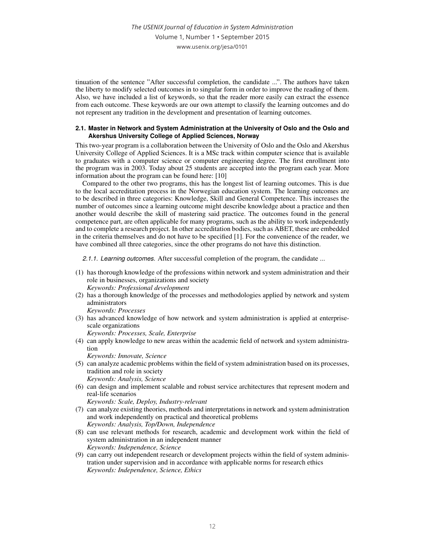tinuation of the sentence "After successful completion, the candidate ...". The authors have taken the liberty to modify selected outcomes in to singular form in order to improve the reading of them. Also, we have included a list of keywords, so that the reader more easily can extract the essence from each outcome. These keywords are our own attempt to classify the learning outcomes and do not represent any tradition in the development and presentation of learning outcomes.

### **2.1. Master in Network and System Administration at the University of Oslo and the Oslo and Akershus University College of Applied Sciences, Norway**

This two-year program is a collaboration between the University of Oslo and the Oslo and Akershus University College of Applied Sciences. It is a MSc track within computer science that is available to graduates with a computer science or computer engineering degree. The first enrollment into the program was in 2003. Today about 25 students are accepted into the program each year. More information about the program can be found here: [10]

Compared to the other two programs, this has the longest list of learning outcomes. This is due to the local accreditation process in the Norwegian education system. The learning outcomes are to be described in three categories: Knowledge, Skill and General Competence. This increases the number of outcomes since a learning outcome might describe knowledge about a practice and then another would describe the skill of mastering said practice. The outcomes found in the general competence part, are often applicable for many programs, such as the ability to work independently and to complete a research project. In other accreditation bodies, such as ABET, these are embedded in the criteria themselves and do not have to be specified [1]. For the convenience of the reader, we have combined all three categories, since the other programs do not have this distinction.

*2.1.1. Learning outcomes.* After successful completion of the program, the candidate ...

- (1) has thorough knowledge of the professions within network and system administration and their role in businesses, organizations and society *Keywords: Professional development*
- (2) has a thorough knowledge of the processes and methodologies applied by network and system administrators

*Keywords: Processes*

(3) has advanced knowledge of how network and system administration is applied at enterprisescale organizations

*Keywords: Processes, Scale, Enterprise*

(4) can apply knowledge to new areas within the academic field of network and system administration

*Keywords: Innovate, Science*

- (5) can analyze academic problems within the field of system administration based on its processes, tradition and role in society *Keywords: Analysis, Science*
- (6) can design and implement scalable and robust service architectures that represent modern and real-life scenarios

*Keywords: Scale, Deploy, Industry-relevant*

- (7) can analyze existing theories, methods and interpretations in network and system administration and work independently on practical and theoretical problems *Keywords: Analysis, Top/Down, Independence*
- (8) can use relevant methods for research, academic and development work within the field of system administration in an independent manner *Keywords: Independence, Science*
- (9) can carry out independent research or development projects within the field of system administration under supervision and in accordance with applicable norms for research ethics *Keywords: Independence, Science, Ethics*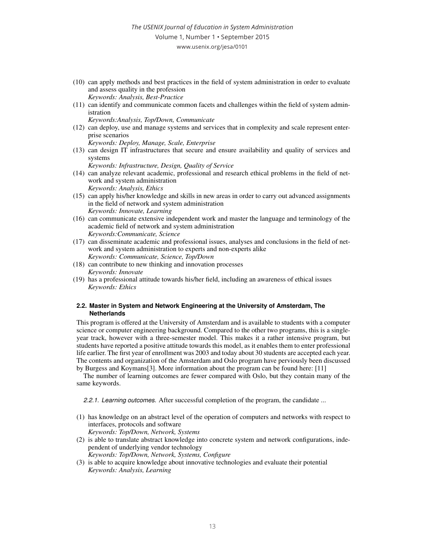- (10) can apply methods and best practices in the field of system administration in order to evaluate and assess quality in the profession *Keywords: Analysis, Best-Practice*
- (11) can identify and communicate common facets and challenges within the field of system administration

*Keywords:Analysis, Top/Down, Communicate*

(12) can deploy, use and manage systems and services that in complexity and scale represent enterprise scenarios

*Keywords: Deploy, Manage, Scale, Enterprise*

(13) can design IT infrastructures that secure and ensure availability and quality of services and systems

*Keywords: Infrastructure, Design, Quality of Service*

- (14) can analyze relevant academic, professional and research ethical problems in the field of network and system administration *Keywords: Analysis, Ethics*
- (15) can apply his/her knowledge and skills in new areas in order to carry out advanced assignments in the field of network and system administration *Keywords: Innovate, Learning*
- (16) can communicate extensive independent work and master the language and terminology of the academic field of network and system administration *Keywords:Communicate, Science*
- (17) can disseminate academic and professional issues, analyses and conclusions in the field of network and system administration to experts and non-experts alike *Keywords: Communicate, Science, Top/Down*
- (18) can contribute to new thinking and innovation processes *Keywords: Innovate*
- (19) has a professional attitude towards his/her field, including an awareness of ethical issues *Keywords: Ethics*

### **2.2. Master in System and Network Engineering at the University of Amsterdam, The Netherlands**

This program is offered at the University of Amsterdam and is available to students with a computer science or computer engineering background. Compared to the other two programs, this is a singleyear track, however with a three-semester model. This makes it a rather intensive program, but students have reported a positive attitude towards this model, as it enables them to enter professional life earlier. The first year of enrollment was 2003 and today about 30 students are accepted each year. The contents and organization of the Amsterdam and Oslo program have perviously been discussed by Burgess and Koymans[3]. More information about the program can be found here: [11]

The number of learning outcomes are fewer compared with Oslo, but they contain many of the same keywords.

*2.2.1. Learning outcomes.* After successful completion of the program, the candidate ...

- (1) has knowledge on an abstract level of the operation of computers and networks with respect to interfaces, protocols and software *Keywords: Top/Down, Network, Systems*
- (2) is able to translate abstract knowledge into concrete system and network configurations, independent of underlying vendor technology
	- *Keywords: Top/Down, Network, Systems, Configure*
- (3) is able to acquire knowledge about innovative technologies and evaluate their potential *Keywords: Analysis, Learning*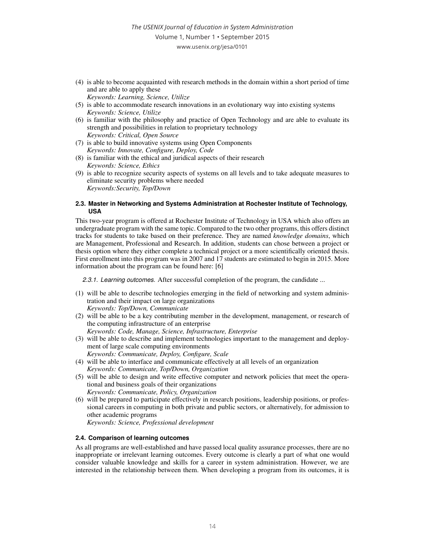(4) is able to become acquainted with research methods in the domain within a short period of time and are able to apply these

*Keywords: Learning, Science, Utilize*

- (5) is able to accommodate research innovations in an evolutionary way into existing systems *Keywords: Science, Utilize*
- (6) is familiar with the philosophy and practice of Open Technology and are able to evaluate its strength and possibilities in relation to proprietary technology *Keywords: Critical, Open Source*
- (7) is able to build innovative systems using Open Components *Keywords: Innovate, Configure, Deploy, Code*
- (8) is familiar with the ethical and juridical aspects of their research *Keywords: Science, Ethics*
- (9) is able to recognize security aspects of systems on all levels and to take adequate measures to eliminate security problems where needed *Keywords:Security, Top/Down*

## **2.3. Master in Networking and Systems Administration at Rochester Institute of Technology, USA**

This two-year program is offered at Rochester Institute of Technology in USA which also offers an undergraduate program with the same topic. Compared to the two other programs, this offers distinct tracks for students to take based on their preference. They are named *knowledge domains*, which are Management, Professional and Research. In addition, students can chose between a project or thesis option where they either complete a technical project or a more scientifically oriented thesis. First enrollment into this program was in 2007 and 17 students are estimated to begin in 2015. More information about the program can be found here: [6]

*2.3.1. Learning outcomes.* After successful completion of the program, the candidate ...

- (1) will be able to describe technologies emerging in the field of networking and system administration and their impact on large organizations *Keywords: Top/Down, Communicate*
- (2) will be able to be a key contributing member in the development, management, or research of the computing infrastructure of an enterprise *Keywords: Code, Manage, Science, Infrastructure, Enterprise*
- (3) will be able to describe and implement technologies important to the management and deployment of large scale computing environments
	- *Keywords: Communicate, Deploy, Configure, Scale*
- (4) will be able to interface and communicate effectively at all levels of an organization *Keywords: Communicate, Top/Down, Organization*
- (5) will be able to design and write effective computer and network policies that meet the operational and business goals of their organizations *Keywords: Communicate, Policy, Organization*
- (6) will be prepared to participate effectively in research positions, leadership positions, or professional careers in computing in both private and public sectors, or alternatively, for admission to other academic programs

*Keywords: Science, Professional development*

### **2.4. Comparison of learning outcomes**

As all programs are well-established and have passed local quality assurance processes, there are no inappropriate or irrelevant learning outcomes. Every outcome is clearly a part of what one would consider valuable knowledge and skills for a career in system administration. However, we are interested in the relationship between them. When developing a program from its outcomes, it is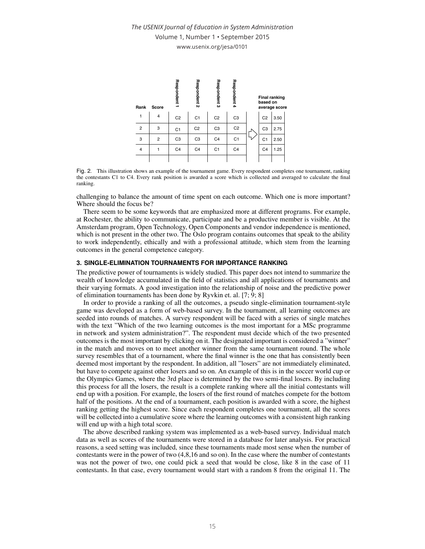| Rank                    | Score          | Respondent<br>$\rightarrow$ | Respondent<br>N | Respondent<br>$\boldsymbol{\omega}$ | Respondent<br>$\overline{4}$ | <b>Final ranking</b><br>based on<br>average score |      |  |
|-------------------------|----------------|-----------------------------|-----------------|-------------------------------------|------------------------------|---------------------------------------------------|------|--|
| 1                       | 4              | C <sub>2</sub>              | C <sub>1</sub>  | C <sub>2</sub>                      | C <sub>3</sub>               | C <sub>2</sub>                                    | 3.50 |  |
| $\overline{c}$          | 3              | C <sub>1</sub>              | C <sub>2</sub>  | C <sub>3</sub>                      | C <sub>2</sub>               | C <sub>3</sub>                                    | 2.75 |  |
| 3                       | $\overline{c}$ | C <sub>3</sub>              | C <sub>3</sub>  | C <sub>4</sub>                      | C <sub>1</sub>               | C <sub>1</sub>                                    | 2.50 |  |
| $\overline{\mathbf{4}}$ |                | C <sub>4</sub>              | C <sub>4</sub>  | C <sub>1</sub>                      | C <sub>4</sub>               | C <sub>4</sub>                                    | 1.25 |  |
|                         |                |                             |                 |                                     |                              |                                                   |      |  |

Fig. 2. This illustration shows an example of the tournament game. Every respondent completes one tournament, ranking the contestants C1 to C4. Every rank position is awarded a score which is collected and averaged to calculate the final ranking.

challenging to balance the amount of time spent on each outcome. Which one is more important? Where should the focus be?

There seem to be some keywords that are emphasized more at different programs. For example, at Rochester, the ability to communicate, participate and be a productive member is visible. At the Amsterdam program, Open Technology, Open Components and vendor independence is mentioned, which is not present in the other two. The Oslo program contains outcomes that speak to the ability to work independently, ethically and with a professional attitude, which stem from the learning outcomes in the general competence category.

## **3. SINGLE-ELIMINATION TOURNAMENTS FOR IMPORTANCE RANKING**

The predictive power of tournaments is widely studied. This paper does not intend to summarize the wealth of knowledge accumulated in the field of statistics and all applications of tournaments and their varying formats. A good investigation into the relationship of noise and the predictive power of elimination tournaments has been done by Ryvkin et. al. [7; 9; 8]

In order to provide a ranking of all the outcomes, a pseudo single-elimination tournament-style game was developed as a form of web-based survey. In the tournament, all learning outcomes are seeded into rounds of matches. A survey respondent will be faced with a series of single matches with the text "Which of the two learning outcomes is the most important for a MSc programme in network and system administration?". The respondent must decide which of the two presented outcomes is the most important by clicking on it. The designated important is considered a "winner" in the match and moves on to meet another winner from the same tournament round. The whole survey resembles that of a tournament, where the final winner is the one that has consistently been deemed most important by the respondent. In addition, all "losers" are not immediately eliminated, but have to compete against other losers and so on. An example of this is in the soccer world cup or the Olympics Games, where the 3rd place is determined by the two semi-final losers. By including this process for all the losers, the result is a complete ranking where all the initial contestants will end up with a position. For example, the losers of the first round of matches compete for the bottom half of the positions. At the end of a tournament, each position is awarded with a score, the highest ranking getting the highest score. Since each respondent completes one tournament, all the scores will be collected into a cumulative score where the learning outcomes with a consistent high ranking will end up with a high total score.

The above described ranking system was implemented as a web-based survey. Individual match data as well as scores of the tournaments were stored in a database for later analysis. For practical reasons, a seed setting was included, since these tournaments made most sense when the number of contestants were in the power of two (4,8,16 and so on). In the case where the number of contestants was not the power of two, one could pick a seed that would be close, like 8 in the case of 11 contestants. In that case, every tournament would start with a random 8 from the original 11. The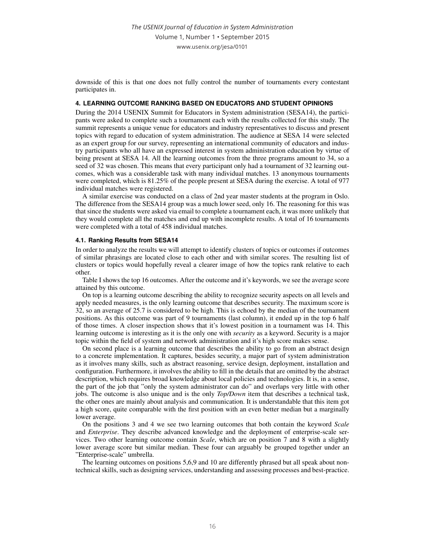downside of this is that one does not fully control the number of tournaments every contestant participates in.

## **4. LEARNING OUTCOME RANKING BASED ON EDUCATORS AND STUDENT OPINIONS**

During the 2014 USENIX Summit for Educators in System administration (SESA14), the participants were asked to complete such a tournament each with the results collected for this study. The summit represents a unique venue for educators and industry representatives to discuss and present topics with regard to education of system administration. The audience at SESA 14 were selected as an expert group for our survey, representing an international community of educators and industry participants who all have an expressed interest in system administration education by virtue of being present at SESA 14. All the learning outcomes from the three programs amount to 34, so a seed of 32 was chosen. This means that every participant only had a tournament of 32 learning outcomes, which was a considerable task with many individual matches. 13 anonymous tournaments were completed, which is 81.25% of the people present at SESA during the exercise. A total of 977 individual matches were registered.

A similar exercise was conducted on a class of 2nd year master students at the program in Oslo. The difference from the SESA14 group was a much lower seed, only 16. The reasoning for this was that since the students were asked via email to complete a tournament each, it was more unlikely that they would complete all the matches and end up with incomplete results. A total of 16 tournaments were completed with a total of 458 individual matches.

### **4.1. Ranking Results from SESA14**

In order to analyze the results we will attempt to identify clusters of topics or outcomes if outcomes of similar phrasings are located close to each other and with similar scores. The resulting list of clusters or topics would hopefully reveal a clearer image of how the topics rank relative to each other.

Table I shows the top 16 outcomes. After the outcome and it's keywords, we see the average score attained by this outcome.

On top is a learning outcome describing the ability to recognize security aspects on all levels and apply needed measures, is the only learning outcome that describes security. The maximum score is 32, so an average of 25.7 is considered to be high. This is echoed by the median of the tournament positions. As this outcome was part of 9 tournaments (last column), it ended up in the top 6 half of those times. A closer inspection shows that it's lowest position in a tournament was 14. This learning outcome is interesting as it is the only one with *security* as a keyword. Security is a major topic within the field of system and network administration and it's high score makes sense.

On second place is a learning outcome that describes the ability to go from an abstract design to a concrete implementation. It captures, besides security, a major part of system administration as it involves many skills, such as abstract reasoning, service design, deployment, installation and configuration. Furthermore, it involves the ability to fill in the details that are omitted by the abstract description, which requires broad knowledge about local policies and technologies. It is, in a sense, the part of the job that "only the system administrator can do" and overlaps very little with other jobs. The outcome is also unique and is the only *Top/Down* item that describes a technical task, the other ones are mainly about analysis and communication. It is understandable that this item got a high score, quite comparable with the first position with an even better median but a marginally lower average.

On the positions 3 and 4 we see two learning outcomes that both contain the keyword *Scale* and *Enterprise*. They describe advanced knowledge and the deployment of enterprise-scale services. Two other learning outcome contain *Scale*, which are on position 7 and 8 with a slightly lower average score but similar median. These four can arguably be grouped together under an "Enterprise-scale" umbrella.

The learning outcomes on positions 5,6,9 and 10 are differently phrased but all speak about nontechnical skills, such as designing services, understanding and assessing processes and best-practice.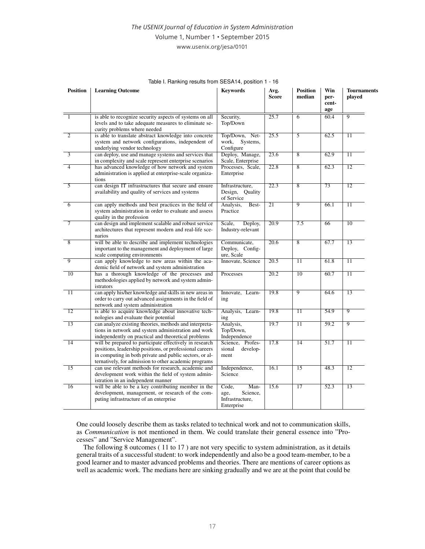|  |  | Table I. Ranking results from SESA14, position 1 - 16 |  |  |
|--|--|-------------------------------------------------------|--|--|
|  |  |                                                       |  |  |

| <b>Position</b> | <b>Learning Outcome</b>                                                                                                                                                                                                                 | <b>Keywords</b>                                                    | Avg.<br><b>Score</b> | <b>Position</b><br>median | Win<br>per-<br>cent-<br>age | <b>Tournaments</b><br>played |
|-----------------|-----------------------------------------------------------------------------------------------------------------------------------------------------------------------------------------------------------------------------------------|--------------------------------------------------------------------|----------------------|---------------------------|-----------------------------|------------------------------|
| $\overline{1}$  | is able to recognize security aspects of systems on all<br>levels and to take adequate measures to eliminate se-<br>curity problems where needed                                                                                        | Security,<br>Top/Down                                              | 25.7                 | $\overline{6}$            | 60.4                        | $\overline{Q}$               |
| $\overline{2}$  | is able to translate abstract knowledge into concrete<br>system and network configurations, independent of<br>underlying vendor technology                                                                                              | Top/Down, Net-<br>work,<br>Systems,<br>Configure                   | 25.5                 | $\overline{5}$            | 62.5                        | $\overline{11}$              |
| $\overline{3}$  | can deploy, use and manage systems and services that<br>in complexity and scale represent enterprise scenarios                                                                                                                          | Deploy, Manage,<br>Scale, Enterprise                               | 23.6                 | $\overline{8}$            | 62.9                        | $\overline{11}$              |
| $\overline{4}$  | has advanced knowledge of how network and system<br>administration is applied at enterprise-scale organiza-<br>tions                                                                                                                    | Processes, Scale,<br>Enterprise                                    | 22.8                 | $\overline{8}$            | 62.3                        | $\overline{12}$              |
| $\overline{5}$  | can design IT infrastructures that secure and ensure<br>availability and quality of services and systems                                                                                                                                | Infrastructure,<br>Design, Quality<br>of Service                   | $\overline{22.3}$    | $\overline{8}$            | $\overline{73}$             | $\overline{12}$              |
| 6               | can apply methods and best practices in the field of<br>system administration in order to evaluate and assess<br>quality in the profession                                                                                              | Analysis,<br>Best-<br>Practice                                     | 21                   | $\overline{9}$            | 66.1                        | 11                           |
| $\overline{7}$  | can design and implement scalable and robust service<br>architectures that represent modern and real-life sce-<br>narios                                                                                                                | Scale.<br>Deploy,<br>Industry-relevant                             | $\overline{20.9}$    | 7.5                       | 66                          | $\overline{10}$              |
| $\overline{8}$  | will be able to describe and implement technologies<br>important to the management and deployment of large<br>scale computing environments                                                                                              | Communicate,<br>Deploy, Config-<br>ure, Scale                      | 20.6                 | $\overline{8}$            | 67.7                        | 13                           |
| $\overline{9}$  | can apply knowledge to new areas within the aca-<br>demic field of network and system administration                                                                                                                                    | Innovate, Science                                                  | 20.5                 | $\overline{11}$           | 61.8                        | $\overline{11}$              |
| $\overline{10}$ | has a thorough knowledge of the processes and<br>methodologies applied by network and system admin-<br>istrators                                                                                                                        | Processes                                                          | $\overline{20.2}$    | $\overline{10}$           | 60.7                        | $\overline{11}$              |
| $\overline{11}$ | can apply his/her knowledge and skills in new areas in<br>order to carry out advanced assignments in the field of<br>network and system administration                                                                                  | Innovate, Learn-<br>ing                                            | 19.8                 | $\overline{9}$            | 64.6                        | $\overline{13}$              |
| $\overline{12}$ | is able to acquire knowledge about innovative tech-<br>nologies and evaluate their potential                                                                                                                                            | Analysis, Learn-<br>ing                                            | 19.8                 | $\overline{11}$           | 54.9                        | $\overline{9}$               |
| 13              | can analyze existing theories, methods and interpreta-<br>tions in network and system administration and work<br>independently on practical and theoretical problems                                                                    | Analysis,<br>Top/Down,<br>Independence                             | 19.7                 | 11                        | 59.2                        | 9                            |
| $\overline{14}$ | will be prepared to participate effectively in research<br>positions, leadership positions, or professional careers<br>in computing in both private and public sectors, or al-<br>ternatively, for admission to other academic programs | Science, Profes-<br>sional<br>develop-<br>ment                     | 17.8                 | $\overline{14}$           | $\overline{51.7}$           | $\overline{11}$              |
| $\overline{15}$ | can use relevant methods for research, academic and<br>development work within the field of system admin-<br>istration in an independent manner                                                                                         | Independence,<br>Science                                           | 16.1                 | $\overline{15}$           | 48.3                        | $\overline{12}$              |
| 16              | will be able to be a key contributing member in the<br>development, management, or research of the com-<br>puting infrastructure of an enterprise                                                                                       | Code.<br>Man-<br>Science,<br>age,<br>Infrastructure,<br>Enterprise | 15.6                 | 17                        | 52.3                        | 13                           |

One could loosely describe them as tasks related to technical work and not to communication skills, as *Communication* is not mentioned in them. We could translate their general essence into "Processes" and "Service Management".

The following 8 outcomes ( 11 to 17 ) are not very specific to system administration, as it details general traits of a successful student: to work independently and also be a good team-member, to be a good learner and to master advanced problems and theories. There are mentions of career options as well as academic work. The medians here are sinking gradually and we are at the point that could be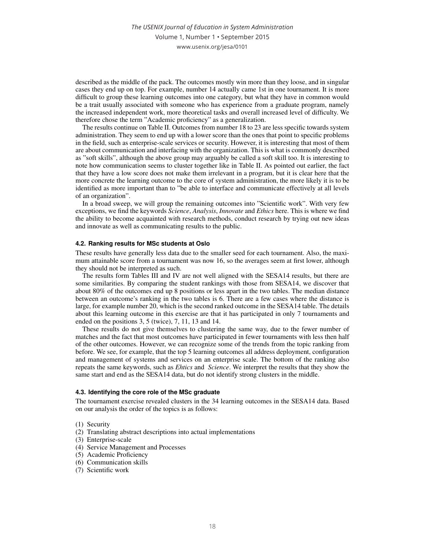described as the middle of the pack. The outcomes mostly win more than they loose, and in singular cases they end up on top. For example, number 14 actually came 1st in one tournament. It is more difficult to group these learning outcomes into one category, but what they have in common would be a trait usually associated with someone who has experience from a graduate program, namely the increased independent work, more theoretical tasks and overall increased level of difficulty. We therefore chose the term "Academic proficiency" as a generalization.

The results continue on Table II. Outcomes from number 18 to 23 are less specific towards system administration. They seem to end up with a lower score than the ones that point to specific problems in the field, such as enterprise-scale services or security. However, it is interesting that most of them are about communication and interfacing with the organization. This is what is commonly described as "soft skills", although the above group may arguably be called a soft skill too. It is interesting to note how communication seems to cluster together like in Table II. As pointed out earlier, the fact that they have a low score does not make them irrelevant in a program, but it is clear here that the more concrete the learning outcome to the core of system administration, the more likely it is to be identified as more important than to "be able to interface and communicate effectively at all levels of an organization".

In a broad sweep, we will group the remaining outcomes into "Scientific work". With very few exceptions, we find the keywords *Science*, *Analysis*, *Innovate* and *Ethics* here. This is where we find the ability to become acquainted with research methods, conduct research by trying out new ideas and innovate as well as communicating results to the public.

#### **4.2. Ranking results for MSc students at Oslo**

These results have generally less data due to the smaller seed for each tournament. Also, the maximum attainable score from a tournament was now 16, so the averages seem at first lower, although they should not be interpreted as such.

The results form Tables III and IV are not well aligned with the SESA14 results, but there are some similarities. By comparing the student rankings with those from SESA14, we discover that about 80% of the outcomes end up 8 positions or less apart in the two tables. The median distance between an outcome's ranking in the two tables is 6. There are a few cases where the distance is large, for example number 20, which is the second ranked outcome in the SESA14 table. The details about this learning outcome in this exercise are that it has participated in only 7 tournaments and ended on the positions 3, 5 (twice), 7, 11, 13 and 14.

These results do not give themselves to clustering the same way, due to the fewer number of matches and the fact that most outcomes have participated in fewer tournaments with less then half of the other outcomes. However, we can recognize some of the trends from the topic ranking from before. We see, for example, that the top 5 learning outcomes all address deployment, configuration and management of systems and services on an enterprise scale. The bottom of the ranking also repeats the same keywords, such as *Ehtics* and *Science*. We interpret the results that they show the same start and end as the SESA14 data, but do not identify strong clusters in the middle.

#### **4.3. Identifying the core role of the MSc graduate**

The tournament exercise revealed clusters in the 34 learning outcomes in the SESA14 data. Based on our analysis the order of the topics is as follows:

- (1) Security
- (2) Translating abstract descriptions into actual implementations
- (3) Enterprise-scale
- (4) Service Management and Processes
- (5) Academic Proficiency
- (6) Communication skills
- (7) Scientific work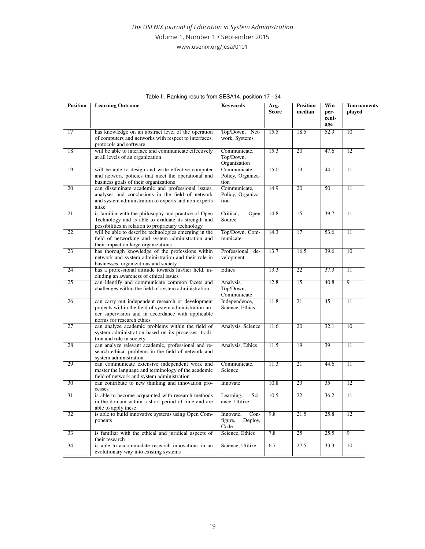| <b>Position</b> | <b>Learning Outcome</b>                                                                                                                                                                       | <b>Keywords</b>                                   | Avg.<br><b>Score</b> | <b>Position</b><br>median | Win<br>per-<br>cent-<br>age | <b>Tournaments</b><br>played |
|-----------------|-----------------------------------------------------------------------------------------------------------------------------------------------------------------------------------------------|---------------------------------------------------|----------------------|---------------------------|-----------------------------|------------------------------|
| $\overline{17}$ | has knowledge on an abstract level of the operation<br>of computers and networks with respect to interfaces,<br>protocols and software                                                        | Top/Down, Net-<br>work, Systems                   | 15.5                 | 18.5                      | 52.9                        | $\overline{10}$              |
| $\overline{18}$ | will be able to interface and communicate effectively<br>at all levels of an organization                                                                                                     | Communicate,<br>Top/Down,<br>Organization         | 15.3                 | $\overline{20}$           | 47.6                        | $\overline{12}$              |
| 19              | will be able to design and write effective computer<br>and network policies that meet the operational and<br>business goals of their organizations                                            | Communicate,<br>Policy, Organiza-<br>tion         | 15.0                 | 13                        | 44.1                        | $\overline{11}$              |
| $\overline{20}$ | can disseminate academic and professional issues,<br>analyses and conclusions in the field of network<br>and system administration to experts and non-experts<br>alike                        | Communicate,<br>Policy, Organiza-<br>tion         | 14.9                 | $\overline{20}$           | $\overline{50}$             | $\overline{11}$              |
| $\overline{21}$ | is familiar with the philosophy and practice of Open<br>Technology and is able to evaluate its strength and<br>possibilities in relation to proprietary technology                            | Critical,<br>Open<br>Source                       | 14.8                 | $\overline{15}$           | 39.7                        | $\overline{11}$              |
| 22              | will be able to describe technologies emerging in the<br>field of networking and system administration and<br>their impact on large organizations                                             | Top/Down, Com-<br>municate                        | 14.3                 | $\overline{17}$           | 53.6                        | 11                           |
| $\overline{23}$ | has thorough knowledge of the professions within<br>network and system administration and their role in<br>businesses, organizations and society                                              | Professional<br>$de-$<br>velopment                | 13.7                 | 16.5                      | 39.6                        | $\overline{10}$              |
| $\overline{24}$ | has a professional attitude towards his/her field, in-<br>cluding an awareness of ethical issues                                                                                              | Ethics                                            | 13.3                 | $\overline{22}$           | 37.3                        | $\overline{11}$              |
| $\overline{25}$ | can identify and communicate common facets and<br>challenges within the field of system administration                                                                                        | Analysis,<br>Top/Down,<br>Communicate             | 12.8                 | $\overline{15}$           | $\overline{40.8}$           | $\overline{9}$               |
| $\overline{26}$ | can carry out independent research or development<br>projects within the field of system administration un-<br>der supervision and in accordance with applicable<br>norms for research ethics | Independence,<br>Science, Ethics                  | 11.8                 | $\overline{21}$           | 45                          | $\overline{11}$              |
| 27              | can analyze academic problems within the field of<br>system administration based on its processes, tradi-<br>tion and role in society                                                         | Analysis, Science                                 | 11.6                 | 20                        | 32.1                        | 10                           |
| $\overline{28}$ | can analyze relevant academic, professional and re-<br>search ethical problems in the field of network and<br>system administration                                                           | Analysis, Ethics                                  | 11.5                 | 19                        | 39                          | $\overline{11}$              |
| 29              | can communicate extensive independent work and<br>master the language and terminology of the academic<br>field of network and system administration                                           | Communicate,<br>Science                           | 11.3                 | $\overline{21}$           | 44.6                        | $\overline{11}$              |
| $\overline{30}$ | can contribute to new thinking and innovation pro-<br>cesses                                                                                                                                  | Innovate                                          | 10.8                 | $\overline{23}$           | $\overline{35}$             | $\overline{12}$              |
| 31              | is able to become acquainted with research methods<br>in the domain within a short period of time and are<br>able to apply these                                                              | $Sci-$<br>Learning,<br>ence, Utilize              | 10.5                 | $\overline{22}$           | 36.2                        | $\overline{11}$              |
| $\overline{32}$ | is able to build innovative systems using Open Com-<br>ponents                                                                                                                                | $Con-$<br>Innovate,<br>figure,<br>Deploy,<br>Code | 9.8                  | 21.5                      | 25.8                        | $\overline{12}$              |
| $\overline{33}$ | is familiar with the ethical and juridical aspects of<br>their research                                                                                                                       | Science, Ethics                                   | 7.8                  | $\overline{25}$           | $\overline{25.5}$           | $\overline{9}$               |
| 34              | is able to accommodate research innovations in an<br>evolutionary way into existing systems                                                                                                   | Science, Utilize                                  | 6.7                  | 27.5                      | 33.3                        | 10                           |

## Table II. Ranking results from SESA14, position 17 - 34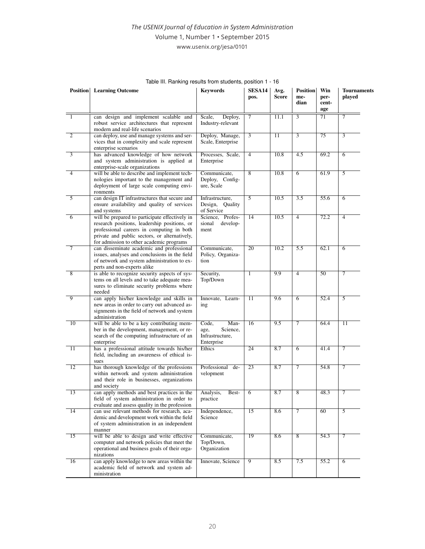|                         | <b>Position</b> Learning Outcome                                                                                                                                                                                                         | <b>Keywords</b>                                                    | SESA14<br>pos.  | Avg.<br><b>Score</b> | <b>Position</b><br>me-<br>dian | Win<br>per-<br>cent-<br>age | <b>Tournaments</b><br>played |
|-------------------------|------------------------------------------------------------------------------------------------------------------------------------------------------------------------------------------------------------------------------------------|--------------------------------------------------------------------|-----------------|----------------------|--------------------------------|-----------------------------|------------------------------|
| 1                       | can design and implement scalable and<br>robust service architectures that represent<br>modern and real-life scenarios                                                                                                                   | Scale,<br>Deploy,<br>Industry-relevant                             | 7               | 11.1                 | 3                              | 71                          | 7                            |
| $\overline{2}$          | can deploy, use and manage systems and ser-<br>vices that in complexity and scale represent<br>enterprise scenarios                                                                                                                      | Deploy, Manage,<br>Scale, Enterprise                               | $\overline{3}$  | 11                   | $\overline{3}$                 | 75                          | $\overline{3}$               |
| $\overline{\mathbf{3}}$ | has advanced knowledge of how network<br>and system administration is applied at<br>enterprise-scale organizations                                                                                                                       | Processes, Scale,<br>Enterprise                                    | 4               | 10.8                 | 4.5                            | 69.2                        | 6                            |
| $\overline{4}$          | will be able to describe and implement tech-<br>nologies important to the management and<br>deployment of large scale computing envi-<br>ronments                                                                                        | Communicate,<br>Deploy, Config-<br>ure, Scale                      | 8               | 10.8                 | 6                              | 61.9                        | 5                            |
| 5                       | can design IT infrastructures that secure and<br>ensure availability and quality of services<br>and systems                                                                                                                              | Infrastructure,<br>Design, Quality<br>of Service                   | 5               | 10.5                 | $\overline{3.5}$               | 55.6                        | 6                            |
| 6                       | will be prepared to participate effectively in<br>research positions, leadership positions, or<br>professional careers in computing in both<br>private and public sectors, or alternatively,<br>for admission to other academic programs | Science, Profes-<br>sional<br>develop-<br>ment                     | 14              | 10.5                 | 4                              | 72.2                        | 4                            |
| 7                       | can disseminate academic and professional<br>issues, analyses and conclusions in the field<br>of network and system administration to ex-<br>perts and non-experts alike                                                                 | Communicate,<br>Policy, Organiza-<br>tion                          | 20              | 10.2                 | 5.5                            | 62.1                        | 6                            |
| $\overline{8}$          | is able to recognize security aspects of sys-<br>tems on all levels and to take adequate mea-<br>sures to eliminate security problems where<br>needed                                                                                    | Security,<br>Top/Down                                              | $\mathbf{1}$    | 9.9                  | $\overline{4}$                 | 50                          | 7                            |
| $\overline{9}$          | can apply his/her knowledge and skills in<br>new areas in order to carry out advanced as-<br>signments in the field of network and system<br>administration                                                                              | Innovate, Learn-<br>ing                                            | 11              | 9.6                  | 6                              | 52.4                        | 5                            |
| 10                      | will be able to be a key contributing mem-<br>ber in the development, management, or re-<br>search of the computing infrastructure of an<br>enterprise                                                                                   | Man-<br>Code,<br>Science,<br>age,<br>Infrastructure,<br>Enterprise | 16              | 9.5                  | 7                              | 64.4                        | 11                           |
| 11                      | has a professional attitude towards his/her<br>field, including an awareness of ethical is-<br>sues                                                                                                                                      | Ethics                                                             | 24              | 8.7                  | 6                              | 41.4                        | 7                            |
| 12                      | has thorough knowledge of the professions<br>within network and system administration<br>and their role in businesses, organizations<br>and society                                                                                      | Professional<br>de-<br>velopment                                   | $\overline{23}$ | 8.7                  | 7                              | 54.8                        | 7                            |
| 13                      | can apply methods and best practices in the<br>field of system administration in order to<br>evaluate and assess quality in the profession                                                                                               | Best-<br>Analysis,<br>practice                                     | 6               | 8.7                  | 8                              | 48.3                        | 7                            |
| 14                      | can use relevant methods for research, aca-<br>demic and development work within the field<br>of system administration in an independent<br>manner                                                                                       | Independence,<br>Science                                           | 15              | 8.6                  | 7                              | 60                          | $\overline{5}$               |
| $\overline{15}$         | will be able to design and write effective<br>computer and network policies that meet the<br>operational and business goals of their orga-<br>nizations                                                                                  | Communicate,<br>Top/Down,<br>Organization                          | 19              | 8.6                  | $\overline{8}$                 | 54.3                        | 7                            |
| 16                      | can apply knowledge to new areas within the<br>academic field of network and system ad-<br>ministration                                                                                                                                  | Innovate, Science                                                  | $\overline{9}$  | 8.5                  | 7.5                            | 55.2                        | 6                            |

## Table III. Ranking results from students, position 1 - 16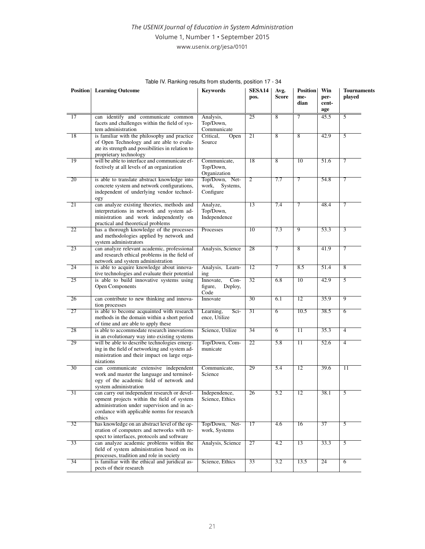|                 | <b>Position</b> Learning Outcome                                                                                                                                                                   | <b>Keywords</b>                                   | <b>SESA14</b><br>pos. | Avg.<br>Score    | <b>Position</b><br>me-<br>dian | Win<br>per-<br>cent-<br>age | <b>Tournaments</b><br>played |
|-----------------|----------------------------------------------------------------------------------------------------------------------------------------------------------------------------------------------------|---------------------------------------------------|-----------------------|------------------|--------------------------------|-----------------------------|------------------------------|
| $\overline{17}$ | can identify and communicate common<br>facets and challenges within the field of sys-<br>tem administration                                                                                        | Analysis,<br>Top/Down,<br>Communicate             | $\overline{25}$       | $\overline{8}$   | 7                              | 45.5                        | 5                            |
| 18              | is familiar with the philosophy and practice<br>of Open Technology and are able to evalu-<br>ate its strength and possibilities in relation to<br>proprietary technology                           | Critical,<br>Open<br>Source                       | 21                    | 8                | 8                              | 42.9                        | 5                            |
| 19              | will be able to interface and communicate ef-<br>fectively at all levels of an organization                                                                                                        | Communicate,<br>Top/Down,<br>Organization         | 18                    | $\overline{8}$   | 10                             | 51.6                        | 7                            |
| 20              | is able to translate abstract knowledge into<br>concrete system and network configurations,<br>independent of underlying vendor technol-<br>ogy                                                    | Top/Down, Net-<br>work, Systems,<br>Configure     | $\overline{2}$        | 7.7              | 7                              | 54.8                        | 7                            |
| 21              | can analyze existing theories, methods and<br>interpretations in network and system ad-<br>ministration and work independently on<br>practical and theoretical problems                            | Analyze,<br>Top/Down,<br>Independence             | 13                    | 7.4              | 7                              | 48.4                        | $\overline{7}$               |
| $\overline{22}$ | has a thorough knowledge of the processes<br>and methodologies applied by network and<br>system administrators                                                                                     | Processes                                         | 10                    | 7.3              | $\overline{9}$                 | $\overline{53.3}$           | $\overline{3}$               |
| 23              | can analyze relevant academic, professional<br>and research ethical problems in the field of<br>network and system administration                                                                  | Analysis, Science                                 | 28                    | 7                | $\overline{8}$                 | 41.9                        | 7                            |
| 24              | is able to acquire knowledge about innova-<br>tive technologies and evaluate their potential                                                                                                       | Analysis, Learn-<br>ing                           | 12                    | 7                | 8.5                            | 51.4                        | 8                            |
| 25              | is able to build innovative systems using<br>Open Components                                                                                                                                       | Innovate,<br>$Con-$<br>figure,<br>Deploy,<br>Code | $\overline{32}$       | 6.8              | $\overline{10}$                | 42.9                        | $\overline{5}$               |
| 26              | can contribute to new thinking and innova-<br>tion processes                                                                                                                                       | Innovate                                          | $\overline{30}$       | 6.1              | $\overline{12}$                | 35.9                        | $\overline{9}$               |
| $\overline{27}$ | is able to become acquainted with research<br>methods in the domain within a short period<br>of time and are able to apply these                                                                   | Sci-<br>Learning,<br>ence, Utilize                | $\overline{31}$       | $\overline{6}$   | 10.5                           | 38.5                        | $\overline{6}$               |
| 28              | is able to accommodate research innovations<br>in an evolutionary way into existing systems                                                                                                        | Science, Utilize                                  | 34                    | 6                | 11                             | 35.3                        | $\overline{4}$               |
| $\overline{29}$ | will be able to describe technologies emerg-<br>ing in the field of networking and system ad-<br>ministration and their impact on large orga-<br>nizations                                         | Top/Down, Com-<br>municate                        | $\overline{22}$       | $\overline{5.8}$ | $\overline{11}$                | 52.6                        | $\overline{4}$               |
| $\overline{30}$ | can communicate extensive independent<br>work and master the language and terminol-<br>ogy of the academic field of network and<br>system administration                                           | Communicate,<br>Science                           | 29                    | 5.4              | $\overline{12}$                | 39.6                        | $\overline{11}$              |
| 31              | can carry out independent research or devel-<br>opment projects within the field of system<br>administration under supervision and in ac-<br>cordance with applicable norms for research<br>ethics | Independence,<br>Science, Ethics                  | 26                    | 5.2              | 12                             | 38.1                        | 5                            |
| $\overline{32}$ | has knowledge on an abstract level of the op-<br>eration of computers and networks with re-<br>spect to interfaces, protocols and software                                                         | Top/Down, Net-<br>work, Systems                   | 17                    | 4.6              | 16                             | $\overline{37}$             | 5                            |
| $\overline{33}$ | can analyze academic problems within the<br>field of system administration based on its<br>processes, tradition and role in society                                                                | Analysis, Science                                 | 27                    | 4.2              | $\overline{13}$                | 33.3                        | 5                            |
| 34              | is familiar with the ethical and juridical as-<br>pects of their research                                                                                                                          | Science, Ethics                                   | 33                    | 3.2              | 13.5                           | $\overline{24}$             | 6                            |

Table IV. Ranking results from students, position 17 - 34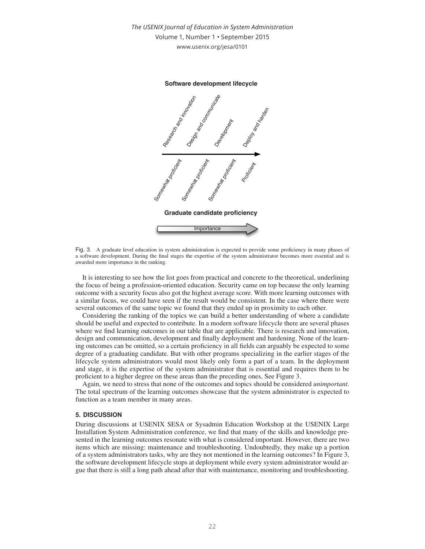#### **Software development lifecycle**



Fig. 3. A graduate level education in system administration is expected to provide some proficiency in many phases of a software development. During the final stages the expertise of the system administrator becomes more essential and is awarded more importance in the ranking.

It is interesting to see how the list goes from practical and concrete to the theoretical, underlining the focus of being a profession-oriented education. Security came on top because the only learning outcome with a security focus also got the highest average score. With more learning outcomes with a similar focus, we could have seen if the result would be consistent. In the case where there were several outcomes of the same topic we found that they ended up in proximity to each other.

Considering the ranking of the topics we can build a better understanding of where a candidate should be useful and expected to contribute. In a modern software lifecycle there are several phases where we find learning outcomes in our table that are applicable. There is research and innovation, design and communication, development and finally deployment and hardening. None of the learning outcomes can be omitted, so a certain proficiency in all fields can arguably be expected to some degree of a graduating candidate. But with other programs specializing in the earlier stages of the lifecycle system administrators would most likely only form a part of a team. In the deployment and stage, it is the expertise of the system administrator that is essential and requires them to be proficient to a higher degree on these areas than the preceding ones, See Figure 3.

Again, we need to stress that none of the outcomes and topics should be considered *unimportant*. The total spectrum of the learning outcomes showcase that the system administrator is expected to function as a team member in many areas.

#### **5. DISCUSSION**

During discussions at USENIX SESA or Sysadmin Education Workshop at the USENIX Large Installation System Administration conference, we find that many of the skills and knowledge presented in the learning outcomes resonate with what is considered important. However, there are two items which are missing: maintenance and troubleshooting. Undoubtedly, they make up a portion of a system administrators tasks, why are they not mentioned in the learning outcomes? In Figure 3, the software development lifecycle stops at deployment while every system administrator would argue that there is still a long path ahead after that with maintenance, monitoring and troubleshooting.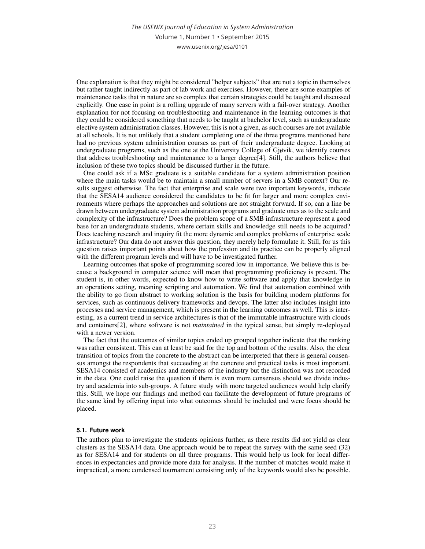One explanation is that they might be considered "helper subjects" that are not a topic in themselves but rather taught indirectly as part of lab work and exercises. However, there are some examples of maintenance tasks that in nature are so complex that certain strategies could be taught and discussed explicitly. One case in point is a rolling upgrade of many servers with a fail-over strategy. Another explanation for not focusing on troubleshooting and maintenance in the learning outcomes is that they could be considered something that needs to be taught at bachelor level, such as undergraduate elective system administration classes. However, this is not a given, as such courses are not available at all schools. It is not unlikely that a student completing one of the three programs mentioned here had no previous system administration courses as part of their undergraduate degree. Looking at undergraduate programs, such as the one at the University College of Gjøvik, we identify courses that address troubleshooting and maintenance to a larger degree[4]. Still, the authors believe that inclusion of these two topics should be discussed further in the future.

One could ask if a MSc graduate is a suitable candidate for a system administration position where the main tasks would be to maintain a small number of servers in a SMB context? Our results suggest otherwise. The fact that enterprise and scale were two important keywords, indicate that the SESA14 audience considered the candidates to be fit for larger and more complex environments where perhaps the approaches and solutions are not straight forward. If so, can a line be drawn between undergraduate system administration programs and graduate ones as to the scale and complexity of the infrastructure? Does the problem scope of a SMB infrastructure represent a good base for an undergraduate students, where certain skills and knowledge still needs to be acquired? Does teaching research and inquiry fit the more dynamic and complex problems of enterprise scale infrastructure? Our data do not answer this question, they merely help formulate it. Still, for us this question raises important points about how the profession and its practice can be properly aligned with the different program levels and will have to be investigated further.

Learning outcomes that spoke of programming scored low in importance. We believe this is because a background in computer science will mean that programming proficiency is present. The student is, in other words, expected to know how to write software and apply that knowledge in an operations setting, meaning scripting and automation. We find that automation combined with the ability to go from abstract to working solution is the basis for building modern platforms for services, such as continuous delivery frameworks and devops. The latter also includes insight into processes and service management, which is present in the learning outcomes as well. This is interesting, as a current trend in service architectures is that of the immutable infrastructure with clouds and containers[2], where software is not *maintained* in the typical sense, but simply re-deployed with a newer version.

The fact that the outcomes of similar topics ended up grouped together indicate that the ranking was rather consistent. This can at least be said for the top and bottom of the results. Also, the clear transition of topics from the concrete to the abstract can be interpreted that there is general consensus amongst the respondents that succeeding at the concrete and practical tasks is most important. SESA14 consisted of academics and members of the industry but the distinction was not recorded in the data. One could raise the question if there is even more consensus should we divide industry and academia into sub-groups. A future study with more targeted audiences would help clarify this. Still, we hope our findings and method can facilitate the development of future programs of the same kind by offering input into what outcomes should be included and were focus should be placed.

#### **5.1. Future work**

The authors plan to investigate the students opinions further, as there results did not yield as clear clusters as the SESA14 data. One approach would be to repeat the survey with the same seed (32) as for SESA14 and for students on all three programs. This would help us look for local differences in expectancies and provide more data for analysis. If the number of matches would make it impractical, a more condensed tournament consisting only of the keywords would also be possible.